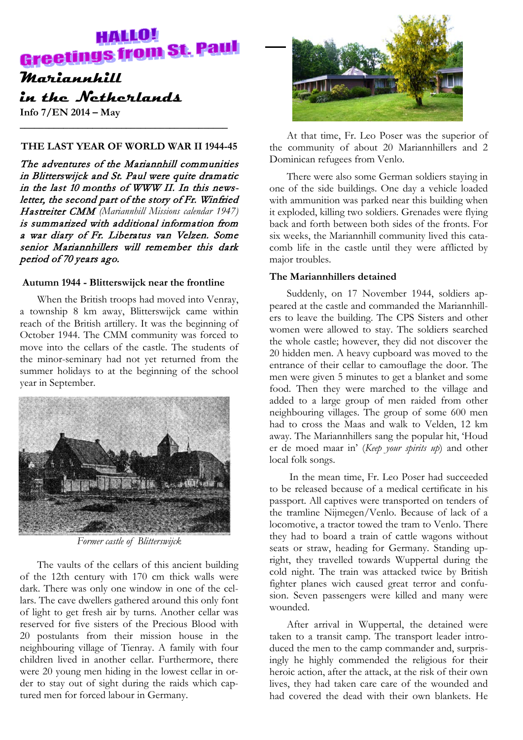# **HALLO! Greetings from St. Paul**

# **Mariannhill in the Netherlands**

**Info 7/EN 2014 – May**

# **THE LAST YEAR OF WORLD WAR II 1944-45**

**\_\_\_\_\_\_\_\_\_\_\_\_\_\_\_\_\_\_\_\_\_\_\_\_\_\_\_\_\_\_\_\_\_\_\_\_\_\_\_\_\_\_\_**

The adventures of the Mariannhill communities in Blitterswijck and St. Paul were quite dramatic in the last 10 months of WWW II. In this newsletter, the second part of the story of Fr. Winfried Hastreiter CMM *(Mariannhill Missions calendar 1947)* is summarized with additional information from a war diary of Fr. Liberatus van Velzen. Some senior Mariannhillers will remember this dark period of 70 years ago.

# **Autumn 1944 - Blitterswijck near the frontline**

When the British troops had moved into Venray, a township 8 km away, Blitterswijck came within reach of the British artillery. It was the beginning of October 1944. The CMM community was forced to move into the cellars of the castle. The students of the minor-seminary had not yet returned from the summer holidays to at the beginning of the school year in September.



*Former castle of Blitterswijck*

The vaults of the cellars of this ancient building of the 12th century with 170 cm thick walls were dark. There was only one window in one of the cellars. The cave dwellers gathered around this only font of light to get fresh air by turns. Another cellar was reserved for five sisters of the Precious Blood with 20 postulants from their mission house in the neighbouring village of Tienray. A family with four children lived in another cellar. Furthermore, there were 20 young men hiding in the lowest cellar in order to stay out of sight during the raids which captured men for forced labour in Germany.



At that time, Fr. Leo Poser was the superior of the community of about 20 Mariannhillers and 2 Dominican refugees from Venlo.

There were also some German soldiers staying in one of the side buildings. One day a vehicle loaded with ammunition was parked near this building when it exploded, killing two soldiers. Grenades were flying back and forth between both sides of the fronts. For six weeks, the Mariannhill community lived this catacomb life in the castle until they were afflicted by major troubles.

# **The Mariannhillers detained**

Suddenly, on 17 November 1944, soldiers appeared at the castle and commanded the Mariannhillers to leave the building. The CPS Sisters and other women were allowed to stay. The soldiers searched the whole castle; however, they did not discover the 20 hidden men. A heavy cupboard was moved to the entrance of their cellar to camouflage the door. The men were given 5 minutes to get a blanket and some food. Then they were marched to the village and added to a large group of men raided from other neighbouring villages. The group of some 600 men had to cross the Maas and walk to Velden, 12 km away. The Mariannhillers sang the popular hit, 'Houd er de moed maar in' (*Keep your spirits up*) and other local folk songs.

In the mean time, Fr. Leo Poser had succeeded to be released because of a medical certificate in his passport. All captives were transported on tenders of the tramline Nijmegen/Venlo. Because of lack of a locomotive, a tractor towed the tram to Venlo. There they had to board a train of cattle wagons without seats or straw, heading for Germany. Standing upright, they travelled towards Wuppertal during the cold night. The train was attacked twice by British fighter planes wich caused great terror and confusion. Seven passengers were killed and many were wounded.

After arrival in Wuppertal, the detained were taken to a transit camp. The transport leader introduced the men to the camp commander and, surprisingly he highly commended the religious for their heroic action, after the attack, at the risk of their own lives, they had taken care care of the wounded and had covered the dead with their own blankets. He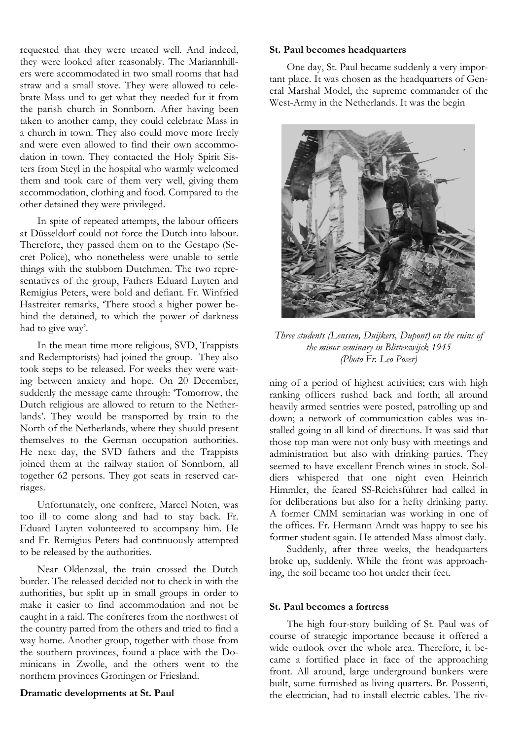requested that they were treated well. And indeed, they were looked after reasonably. The Mariannhillers were accommodated in two small rooms that had straw and a small stove. They were allowed to celebrate Mass und to get what they needed for it from the parish church in Sonnborn. After having been taken to another camp, they could celebrate Mass in a church in town. They also could move more freely and were even allowed to find their own accommodation in town. They contacted the Holy Spirit Sisters from Steyl in the hospital who warmly welcomed them and took care of them very well, giving them accommodation, clothing and food. Compared to the other detained they were privileged.

In spite of repeated attempts, the labour officers at Düsseldorf could not force the Dutch into labour. Therefore, they passed them on to the Gestapo (Secret Police), who nonetheless were unable to settle things with the stubborn Dutchmen. The two representatives of the group, Fathers Eduard Luyten and Remigius Peters, were bold and defiant. Fr. Winfried Hastreiter remarks, 'There stood a higher power behind the detained, to which the power of darkness had to give way'.

In the mean time more religious, SVD, Trappists and Redemptorists) had joined the group. They also took steps to be released. For weeks they were waiting between anxiety and hope. On 20 December, suddenly the message came through: 'Tomorrow, the Dutch religious are allowed to return to the Netherlands'. They would be transported by train to the North of the Netherlands, where they should present themselves to the German occupation authorities. He next day, the SVD fathers and the Trappists joined them at the railway station of Sonnborn, all together 62 persons. They got seats in reserved carriages.

Unfortunately, one confrere, Marcel Noten, was too ill to come along and had to stay back. Fr. Eduard Luyten volunteered to accompany him. He and Fr. Remigius Peters had continuously attempted to be released by the authorities.

Near Oldenzaal, the train crossed the Dutch border. The released decided not to check in with the authorities, but split up in small groups in order to make it easier to find accommodation and not be caught in a raid. The confreres from the northwest of the country parted from the others and tried to find a way home. Another group, together with those from the southern provinces, found a place with the Dominicans in Zwolle, and the others went to the northern provinces Groningen or Friesland.

### **Dramatic developments at St. Paul**

**St. Paul becomes headquarters**

One day, St. Paul became suddenly a very important place. It was chosen as the headquarters of General Marshal Model, the supreme commander of the West-Army in the Netherlands. It was the begin



*Three students (Lenssen, Duijkers, Dupont) on the ruins of the minor seminary in Blitterswijck 1945 (Photo Fr. Leo Poser)*

ning of a period of highest activities; cars with high ranking officers rushed back and forth; all around heavily armed sentries were posted, patrolling up and down; a network of communication cables was installed going in all kind of directions. It was said that those top man were not only busy with meetings and administration but also with drinking parties. They seemed to have excellent French wines in stock. Soldiers whispered that one night even Heinrich Himmler, the feared SS-Reichsführer had called in for deliberations but also for a hefty drinking party. A former CMM seminarian was working in one of the offices. Fr. Hermann Arndt was happy to see his former student again. He attended Mass almost daily.

Suddenly, after three weeks, the headquarters broke up, suddenly. While the front was approaching, the soil became too hot under their feet.

#### **St. Paul becomes a fortress**

The high four-story building of St. Paul was of course of strategic importance because it offered a wide outlook over the whole area. Therefore, it became a fortified place in face of the approaching front. All around, large underground bunkers were built, some furnished as living quarters. Br. Possenti, the electrician, had to install electric cables. The riv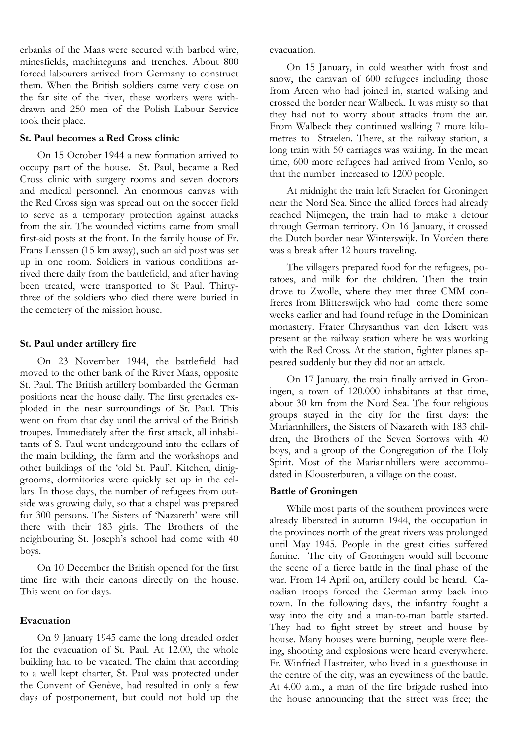erbanks of the Maas were secured with barbed wire, minesfields, machineguns and trenches. About 800 forced labourers arrived from Germany to construct them. When the British soldiers came very close on the far site of the river, these workers were withdrawn and 250 men of the Polish Labour Service took their place.

### **St. Paul becomes a Red Cross clinic**

On 15 October 1944 a new formation arrived to occupy part of the house. St. Paul, became a Red Cross clinic with surgery rooms and seven doctors and medical personnel. An enormous canvas with the Red Cross sign was spread out on the soccer field to serve as a temporary protection against attacks from the air. The wounded victims came from small first-aid posts at the front. In the family house of Fr. Frans Lenssen (15 km away), such an aid post was set up in one room. Soldiers in various conditions arrived there daily from the battlefield, and after having been treated, were transported to St Paul. Thirtythree of the soldiers who died there were buried in the cemetery of the mission house.

# **St. Paul under artillery fire**

On 23 November 1944, the battlefield had moved to the other bank of the River Maas, opposite St. Paul. The British artillery bombarded the German positions near the house daily. The first grenades exploded in the near surroundings of St. Paul. This went on from that day until the arrival of the British troupes. Immediately after the first attack, all inhabitants of S. Paul went underground into the cellars of the main building, the farm and the workshops and other buildings of the 'old St. Paul'. Kitchen, diniggrooms, dormitories were quickly set up in the cellars. In those days, the number of refugees from outside was growing daily, so that a chapel was prepared for 300 persons. The Sisters of 'Nazareth' were still there with their 183 girls. The Brothers of the neighbouring St. Joseph's school had come with 40 boys.

On 10 December the British opened for the first time fire with their canons directly on the house. This went on for days.

# **Evacuation**

On 9 January 1945 came the long dreaded order for the evacuation of St. Paul. At 12.00, the whole building had to be vacated. The claim that according to a well kept charter, St. Paul was protected under the Convent of Genève, had resulted in only a few days of postponement, but could not hold up the

evacuation.

On 15 January, in cold weather with frost and snow, the caravan of 600 refugees including those from Arcen who had joined in, started walking and crossed the border near Walbeck. It was misty so that they had not to worry about attacks from the air. From Walbeck they continued walking 7 more kilometres to Straelen. There, at the railway station, a long train with 50 carriages was waiting. In the mean time, 600 more refugees had arrived from Venlo, so that the number increased to 1200 people.

At midnight the train left Straelen for Groningen near the Nord Sea. Since the allied forces had already reached Nijmegen, the train had to make a detour through German territory. On 16 January, it crossed the Dutch border near Winterswijk. In Vorden there was a break after 12 hours traveling.

The villagers prepared food for the refugees, potatoes, and milk for the children. Then the train drove to Zwolle, where they met three CMM confreres from Blitterswijck who had come there some weeks earlier and had found refuge in the Dominican monastery. Frater Chrysanthus van den Idsert was present at the railway station where he was working with the Red Cross. At the station, fighter planes appeared suddenly but they did not an attack.

On 17 January, the train finally arrived in Groningen, a town of 120.000 inhabitants at that time, about 30 km from the Nord Sea. The four religious groups stayed in the city for the first days: the Mariannhillers, the Sisters of Nazareth with 183 children, the Brothers of the Seven Sorrows with 40 boys, and a group of the Congregation of the Holy Spirit. Most of the Mariannhillers were accommodated in Kloosterburen, a village on the coast.

# **Battle of Groningen**

While most parts of the southern provinces were already liberated in autumn 1944, the occupation in the provinces north of the great rivers was prolonged until May 1945. People in the great cities suffered famine. The city of Groningen would still become the scene of a fierce battle in the final phase of the war. From 14 April on, artillery could be heard. Canadian troops forced the German army back into town. In the following days, the infantry fought a way into the city and a man-to-man battle started. They had to fight street by street and house by house. Many houses were burning, people were fleeing, shooting and explosions were heard everywhere. Fr. Winfried Hastreiter, who lived in a guesthouse in the centre of the city, was an eyewitness of the battle. At 4.00 a.m., a man of the fire brigade rushed into the house announcing that the street was free; the